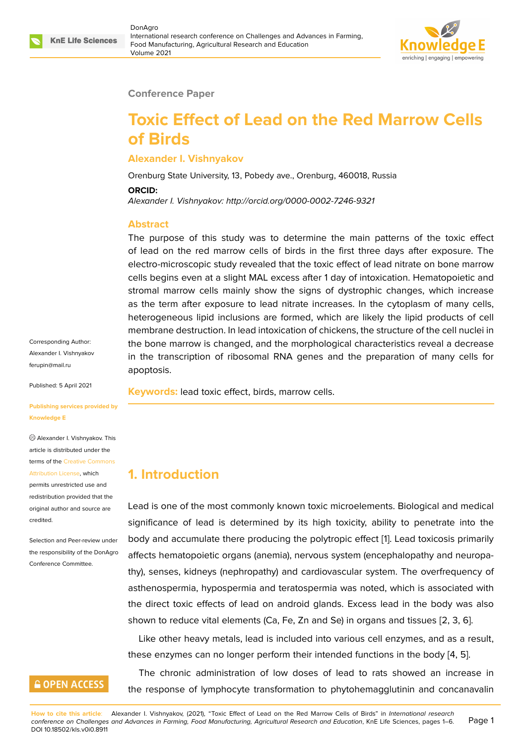

### **Conference Paper**

# **Toxic Effect of Lead on the Red Marrow Cells of Birds**

### **Alexander I. Vishnyakov**

Orenburg State University, 13, Pobedy ave., Orenburg, 460018, Russia

#### **ORCID:**

*Alexander I. Vishnyakov: http://orcid.org/0000-0002-7246-9321*

### **Abstract**

The purpose of this study was to determine the main patterns of the toxic effect of lead on the red marrow cells of birds in the first three days after exposure. The electro-microscopic study revealed that the toxic effect of lead nitrate on bone marrow cells begins even at a slight MAL excess after 1 day of intoxication. Hematopoietic and stromal marrow cells mainly show the signs of dystrophic changes, which increase as the term after exposure to lead nitrate increases. In the cytoplasm of many cells, heterogeneous lipid inclusions are formed, which are likely the lipid products of cell membrane destruction. In lead intoxication of chickens, the structure of the cell nuclei in the bone marrow is changed, and the morphological characteristics reveal a decrease in the transcription of ribosomal RNA genes and the preparation of many cells for apoptosis.

**Keywords:** lead toxic effect, birds, marrow cells.

### Corresponding Author: Alexander I. Vishnyakov ferupin@mail.ru

Published: 5 April 2021

### **[Publishing serv](mailto:ferupin@mail.ru)ices provided by Knowledge E**

Alexander I. Vishnyakov. This article is distributed under the terms of the Creative Commons Attribution License, which permits unrestricted use and

redistribution provided that the original auth[or and source are](https://creativecommons.org/licenses/by/4.0/) [credited.](https://creativecommons.org/licenses/by/4.0/)

Selection and Peer-review under the responsibility of the DonAgro Conference Committee.

# **GOPEN ACCESS**

**1. Introduction**

Lead is one of the most commonly known toxic microelements. Biological and medical significance of lead is determined by its high toxicity, ability to penetrate into the body and accumulate there producing the polytropic effect [1]. Lead toxicosis primarily affects hematopoietic organs (anemia), nervous system (encephalopathy and neuropathy), senses, kidneys (nephropathy) and cardiovascular system. The overfrequency of asthenospermia, hypospermia and teratospermia was note[d,](#page-4-0) which is associated with the direct toxic effects of lead on android glands. Excess lead in the body was also shown to reduce vital elements (Ca, Fe, Zn and Se) in organs and tissues [2, 3, 6].

Like other heavy metals, lead is included into various cell enzymes, and as a result, these enzymes can no longer perform their intended functions in the body [4, 5].

The chronic administration of low doses of lead to rats showed an [i](#page-4-1)[ncr](#page-4-2)[ea](#page-4-3)se in the response of lymphocyte transformation to phytohemagglutinin and co[nc](#page-4-4)[an](#page-4-5)avalin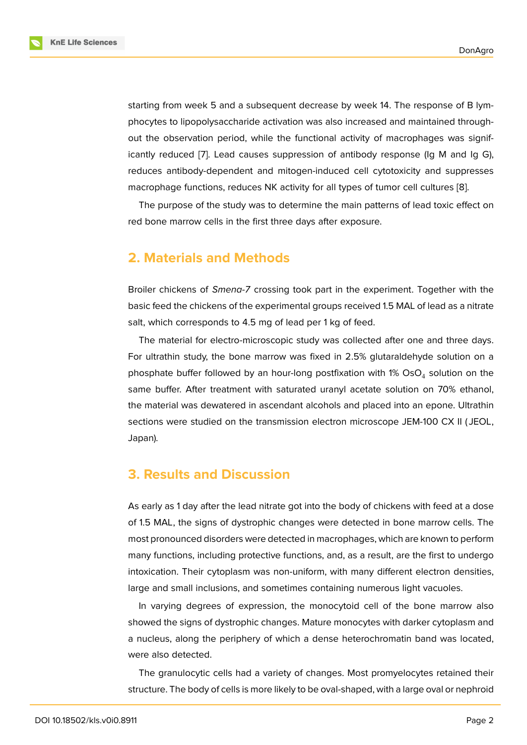starting from week 5 and a subsequent decrease by week 14. The response of B lymphocytes to lipopolysaccharide activation was also increased and maintained throughout the observation period, while the functional activity of macrophages was significantly reduced [7]. Lead causes suppression of antibody response (Ig M and Ig G), reduces antibody-dependent and mitogen-induced cell cytotoxicity and suppresses macrophage functions, reduces NK activity for all types of tumor cell cultures [8].

The purpose [of](#page-4-6) the study was to determine the main patterns of lead toxic effect on red bone marrow cells in the first three days after exposure.

### **2. Materials and Methods**

Broiler chickens of *Smena-7* crossing took part in the experiment. Together with the basic feed the chickens of the experimental groups received 1.5 MAL of lead as a nitrate salt, which corresponds to 4.5 mg of lead per 1 kg of feed.

The material for electro-microscopic study was collected after one and three days. For ultrathin study, the bone marrow was fixed in 2.5% glutaraldehyde solution on a phosphate buffer followed by an hour-long postfixation with 1% OsO<sub>4</sub> solution on the same buffer. After treatment with saturated uranyl acetate solution on 70% ethanol, the material was dewatered in ascendant alcohols and placed into an epone. Ultrathin sections were studied on the transmission electron microscope JEM-100 CX II ( JEOL, Japan).

### **3. Results and Discussion**

As early as 1 day after the lead nitrate got into the body of chickens with feed at a dose of 1.5 MAL, the signs of dystrophic changes were detected in bone marrow cells. The most pronounced disorders were detected in macrophages, which are known to perform many functions, including protective functions, and, as a result, are the first to undergo intoxication. Their cytoplasm was non-uniform, with many different electron densities, large and small inclusions, and sometimes containing numerous light vacuoles.

In varying degrees of expression, the monocytoid cell of the bone marrow also showed the signs of dystrophic changes. Mature monocytes with darker cytoplasm and a nucleus, along the periphery of which a dense heterochromatin band was located, were also detected.

The granulocytic cells had a variety of changes. Most promyelocytes retained their structure. The body of cells is more likely to be oval-shaped, with a large oval or nephroid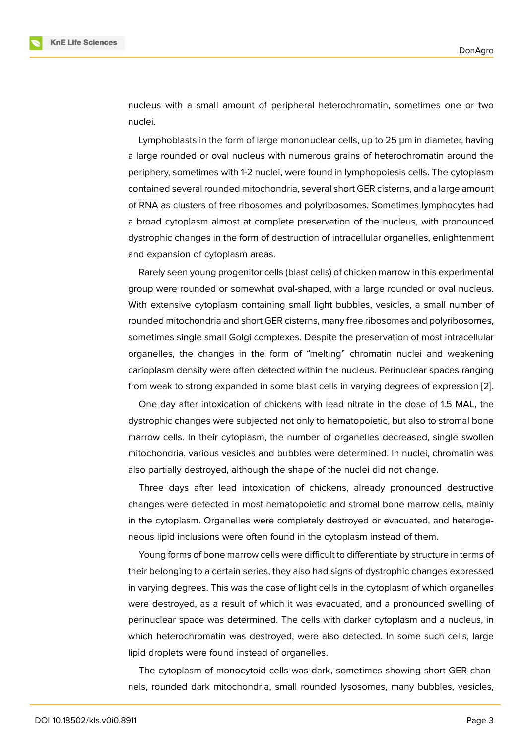nucleus with a small amount of peripheral heterochromatin, sometimes one or two nuclei.

Lymphoblasts in the form of large mononuclear cells, up to 25 μm in diameter, having a large rounded or oval nucleus with numerous grains of heterochromatin around the periphery, sometimes with 1-2 nuclei, were found in lymphopoiesis cells. The cytoplasm contained several rounded mitochondria, several short GER cisterns, and a large amount of RNA as clusters of free ribosomes and polyribosomes. Sometimes lymphocytes had a broad cytoplasm almost at complete preservation of the nucleus, with pronounced dystrophic changes in the form of destruction of intracellular organelles, enlightenment and expansion of cytoplasm areas.

Rarely seen young progenitor cells (blast cells) of chicken marrow in this experimental group were rounded or somewhat oval-shaped, with a large rounded or oval nucleus. With extensive cytoplasm containing small light bubbles, vesicles, a small number of rounded mitochondria and short GER cisterns, many free ribosomes and polyribosomes, sometimes single small Golgi complexes. Despite the preservation of most intracellular organelles, the changes in the form of "melting" chromatin nuclei and weakening carioplasm density were often detected within the nucleus. Perinuclear spaces ranging from weak to strong expanded in some blast cells in varying degrees of expression [2].

One day after intoxication of chickens with lead nitrate in the dose of 1.5 MAL, the dystrophic changes were subjected not only to hematopoietic, but also to stromal bone marrow cells. In their cytoplasm, the number of organelles decreased, single swoll[en](#page-4-1) mitochondria, various vesicles and bubbles were determined. In nuclei, chromatin was also partially destroyed, although the shape of the nuclei did not change.

Three days after lead intoxication of chickens, already pronounced destructive changes were detected in most hematopoietic and stromal bone marrow cells, mainly in the cytoplasm. Organelles were completely destroyed or evacuated, and heterogeneous lipid inclusions were often found in the cytoplasm instead of them.

Young forms of bone marrow cells were difficult to differentiate by structure in terms of their belonging to a certain series, they also had signs of dystrophic changes expressed in varying degrees. This was the case of light cells in the cytoplasm of which organelles were destroyed, as a result of which it was evacuated, and a pronounced swelling of perinuclear space was determined. The cells with darker cytoplasm and a nucleus, in which heterochromatin was destroyed, were also detected. In some such cells, large lipid droplets were found instead of organelles.

The cytoplasm of monocytoid cells was dark, sometimes showing short GER channels, rounded dark mitochondria, small rounded lysosomes, many bubbles, vesicles,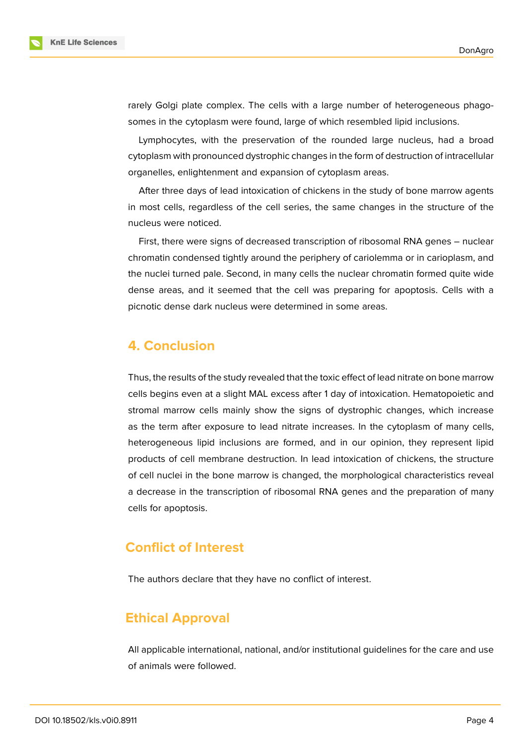



Lymphocytes, with the preservation of the rounded large nucleus, had a broad cytoplasm with pronounced dystrophic changes in the form of destruction of intracellular organelles, enlightenment and expansion of cytoplasm areas.

After three days of lead intoxication of chickens in the study of bone marrow agents in most cells, regardless of the cell series, the same changes in the structure of the nucleus were noticed.

First, there were signs of decreased transcription of ribosomal RNA genes – nuclear chromatin condensed tightly around the periphery of cariolemma or in carioplasm, and the nuclei turned pale. Second, in many cells the nuclear chromatin formed quite wide dense areas, and it seemed that the cell was preparing for apoptosis. Cells with a picnotic dense dark nucleus were determined in some areas.

# **4. Conclusion**

Thus, the results of the study revealed that the toxic effect of lead nitrate on bone marrow cells begins even at a slight MAL excess after 1 day of intoxication. Hematopoietic and stromal marrow cells mainly show the signs of dystrophic changes, which increase as the term after exposure to lead nitrate increases. In the cytoplasm of many cells, heterogeneous lipid inclusions are formed, and in our opinion, they represent lipid products of cell membrane destruction. In lead intoxication of chickens, the structure of cell nuclei in the bone marrow is changed, the morphological characteristics reveal a decrease in the transcription of ribosomal RNA genes and the preparation of many cells for apoptosis.

# **Conflict of Interest**

The authors declare that they have no conflict of interest.

# **Ethical Approval**

All applicable international, national, and/or institutional guidelines for the care and use of animals were followed.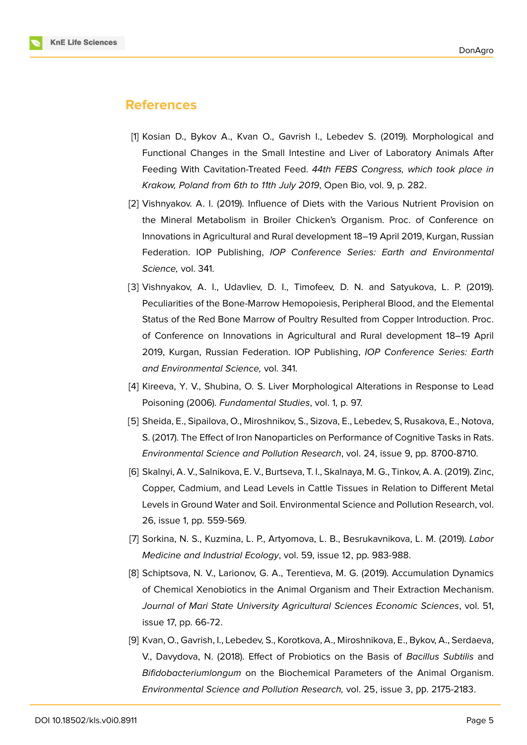

# **References**

- <span id="page-4-0"></span>[1] Kosian D., Bykov A., Kvan O., Gavrish I., Lebedev S. (2019). Morphological and Functional Changes in the Small Intestine and Liver of Laboratory Animals After Feeding With Cavitation-Treated Feed. *44th FEBS Congress, which took place in Krakow, Poland from 6th to 11th July 2019*, Open Bio, vol. 9, p. 282.
- <span id="page-4-1"></span>[2] Vishnyakov. A. I. (2019). Influence of Diets with the Various Nutrient Provision on the Mineral Metabolism in Broiler Chicken's Organism. Proc. of Conference on Innovations in Agricultural and Rural development 18–19 April 2019, Kurgan, Russian Federation. IOP Publishing, *IOP Conference Series: Earth and Environmental Science,* vol. 341.
- <span id="page-4-2"></span>[3] Vishnyakov, A. I., Udavliev, D. I., Timofeev, D. N. and Satyukova, L. P. (2019). Peculiarities of the Bone-Marrow Hemopoiesis, Peripheral Blood, and the Elemental Status of the Red Bone Marrow of Poultry Resulted from Copper Introduction. Proc. of Conference on Innovations in Agricultural and Rural development 18–19 April 2019, Kurgan, Russian Federation. IOP Publishing, *IOP Conference Series: Earth and Environmental Science,* vol. 341.
- <span id="page-4-4"></span>[4] Kireeva, Y. V., Shubina, O. S. Liver Morphological Alterations in Response to Lead Poisoning (2006). *Fundamental Studies*, vol. 1, p. 97.
- <span id="page-4-5"></span>[5] Sheida, E., Sipailova, O., Miroshnikov, S., Sizova, E., Lebedev, S, Rusakova, E., Notova, S. (2017). The Effect of Iron Nanoparticles on Performance of Cognitive Tasks in Rats. *Environmental Science and Pollution Research*, vol. 24, issue 9, pp. 8700-8710.
- <span id="page-4-3"></span>[6] Skalnyi, A. V., Salnikova, E. V., Burtseva, T. I., Skalnaya, M. G., Tinkov, A. A. (2019). Zinc, Copper, Cadmium, and Lead Levels in Cattle Tissues in Relation to Different Metal Levels in Ground Water and Soil. Environmental Science and Pollution Research, vol. 26, issue 1, pp. 559-569.
- <span id="page-4-6"></span>[7] Sorkina, N. S., Kuzmina, L. P., Artyomova, L. B., Besrukavnikova, L. M. (2019). *Labor Medicine and Industrial Ecology*, vol. 59, issue 12, pp. 983-988.
- [8] Schiptsova, N. V., Larionov, G. A., Terentieva, M. G. (2019). Accumulation Dynamics of Chemical Xenobiotics in the Animal Organism and Their Extraction Mechanism. *Journal of Mari State University Agricultural Sciences Economic Sciences*, vol. 51, issue 17, pp. 66-72.
- [9] Kvan, O., Gavrish, I., Lebedev, S., Korotkova, A., Miroshnikova, E., Bykov, A., Serdaeva, V., Davydova, N. (2018). Effect of Probiotics on the Basis of *Bacillus Subtilis* and *Bifidobacteriumlongum* on the Biochemical Parameters of the Animal Organism. *Environmental Science and Pollution Research,* vol. 25, issue 3, рр. 2175-2183.